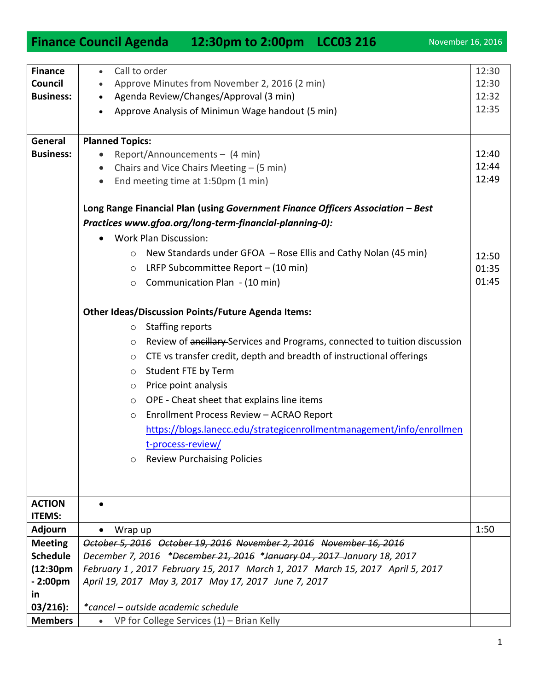1

| <b>Finance</b>         | Call to order<br>$\bullet$                                                                   | 12:30 |  |  |
|------------------------|----------------------------------------------------------------------------------------------|-------|--|--|
| Council                | Approve Minutes from November 2, 2016 (2 min)                                                | 12:30 |  |  |
| <b>Business:</b>       | Agenda Review/Changes/Approval (3 min)                                                       | 12:32 |  |  |
|                        | Approve Analysis of Minimun Wage handout (5 min)                                             | 12:35 |  |  |
|                        |                                                                                              |       |  |  |
| General                | <b>Planned Topics:</b>                                                                       |       |  |  |
| <b>Business:</b>       | Report/Announcements - (4 min)<br>$\bullet$                                                  | 12:40 |  |  |
|                        | Chairs and Vice Chairs Meeting - (5 min)<br>$\bullet$                                        | 12:44 |  |  |
|                        | End meeting time at 1:50pm (1 min)<br>$\bullet$                                              | 12:49 |  |  |
|                        | Long Range Financial Plan (using Government Finance Officers Association - Best              |       |  |  |
|                        | Practices www.gfoa.org/long-term-financial-planning-0):                                      |       |  |  |
|                        |                                                                                              |       |  |  |
|                        | <b>Work Plan Discussion:</b><br>$\bullet$                                                    |       |  |  |
|                        | New Standards under GFOA - Rose Ellis and Cathy Nolan (45 min)<br>$\circ$                    | 12:50 |  |  |
|                        | LRFP Subcommittee Report - (10 min)<br>$\circ$                                               | 01:35 |  |  |
|                        | Communication Plan - (10 min)<br>$\circ$                                                     | 01:45 |  |  |
|                        | <b>Other Ideas/Discussion Points/Future Agenda Items:</b>                                    |       |  |  |
|                        | <b>Staffing reports</b><br>$\circ$                                                           |       |  |  |
|                        | Review of ancillary-Services and Programs, connected to tuition discussion<br>$\circ$        |       |  |  |
|                        | CTE vs transfer credit, depth and breadth of instructional offerings<br>$\circ$              |       |  |  |
|                        | Student FTE by Term<br>$\circ$                                                               |       |  |  |
|                        | Price point analysis                                                                         |       |  |  |
|                        | $\circ$<br>OPE - Cheat sheet that explains line items                                        |       |  |  |
|                        | $\circ$<br>Enrollment Process Review - ACRAO Report                                          |       |  |  |
|                        | $\circlearrowright$<br>https://blogs.lanecc.edu/strategicenrollmentmanagement/info/enrollmen |       |  |  |
|                        | t-process-review/                                                                            |       |  |  |
|                        | <b>Review Purchaising Policies</b>                                                           |       |  |  |
|                        | O                                                                                            |       |  |  |
|                        |                                                                                              |       |  |  |
| <b>ACTION</b>          |                                                                                              |       |  |  |
| <b>ITEMS:</b>          |                                                                                              |       |  |  |
| <b>Adjourn</b>         | Wrap up                                                                                      | 1:50  |  |  |
| <b>Meeting</b>         | October 5, 2016 October 19, 2016 November 2, 2016 November 16, 2016                          |       |  |  |
| <b>Schedule</b>        | December 7, 2016 *December 21, 2016 *January 04, 2017 January 18, 2017                       |       |  |  |
| (12:30 <sub>pm</sub> ) | February 1, 2017 February 15, 2017 March 1, 2017 March 15, 2017 April 5, 2017                |       |  |  |
| $-2:00pm$              | April 19, 2017 May 3, 2017 May 17, 2017 June 7, 2017                                         |       |  |  |
| <u>in</u>              |                                                                                              |       |  |  |
| $03/216$ :             | *cancel – outside academic schedule                                                          |       |  |  |
| <b>Members</b>         | VP for College Services $(1)$ – Brian Kelly<br>$\bullet$                                     |       |  |  |

## **Finance Council Agenda** 12:30pm to 2:00pm LCC03 216 November 16, 2016